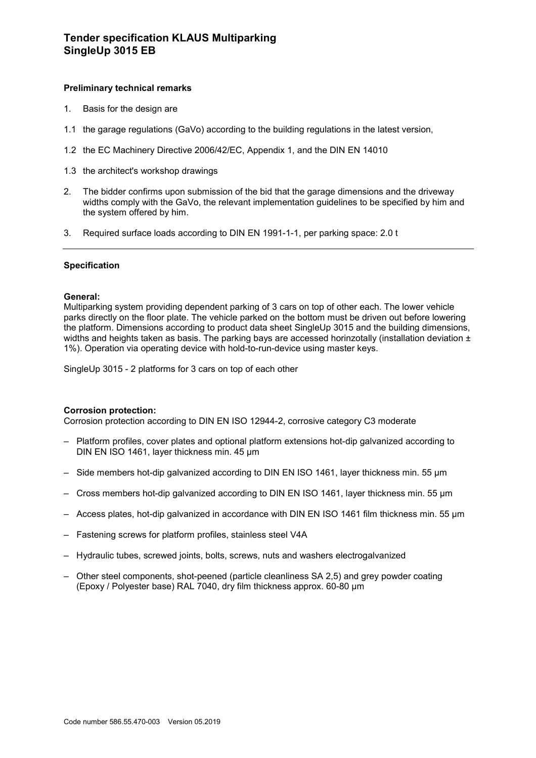# **Tender specification KLAUS Multiparking SingleUp 3015 EB**

## **Preliminary technical remarks**

- 1. Basis for the design are
- 1.1 the garage regulations (GaVo) according to the building regulations in the latest version,
- 1.2 the EC Machinery Directive 2006/42/EC, Appendix 1, and the DIN EN 14010
- 1.3 the architect's workshop drawings
- 2. The bidder confirms upon submission of the bid that the garage dimensions and the driveway widths comply with the GaVo, the relevant implementation guidelines to be specified by him and the system offered by him.
- 3. Required surface loads according to DIN EN 1991-1-1, per parking space: 2.0 t

### **Specification**

#### **General:**

Multiparking system providing dependent parking of 3 cars on top of other each. The lower vehicle parks directly on the floor plate. The vehicle parked on the bottom must be driven out before lowering the platform. Dimensions according to product data sheet SingleUp 3015 and the building dimensions, widths and heights taken as basis. The parking bays are accessed horinzotally (installation deviation  $\pm$ 1%). Operation via operating device with hold-to-run-device using master keys.

SingleUp 3015 - 2 platforms for 3 cars on top of each other

#### **Corrosion protection:**

Corrosion protection according to DIN EN ISO 12944-2, corrosive category C3 moderate

- Platform profiles, cover plates and optional platform extensions hot-dip galvanized according to DIN EN ISO 1461, layer thickness min. 45 μm
- Side members hot-dip galvanized according to DIN EN ISO 1461, layer thickness min. 55 μm
- Cross members hot-dip galvanized according to DIN EN ISO 1461, layer thickness min. 55 μm
- Access plates, hot-dip galvanized in accordance with DIN EN ISO 1461 film thickness min. 55 µm
- Fastening screws for platform profiles, stainless steel V4A
- Hydraulic tubes, screwed joints, bolts, screws, nuts and washers electrogalvanized
- Other steel components, shot-peened (particle cleanliness SA 2,5) and grey powder coating (Epoxy / Polyester base) RAL 7040, dry film thickness approx. 60-80 µm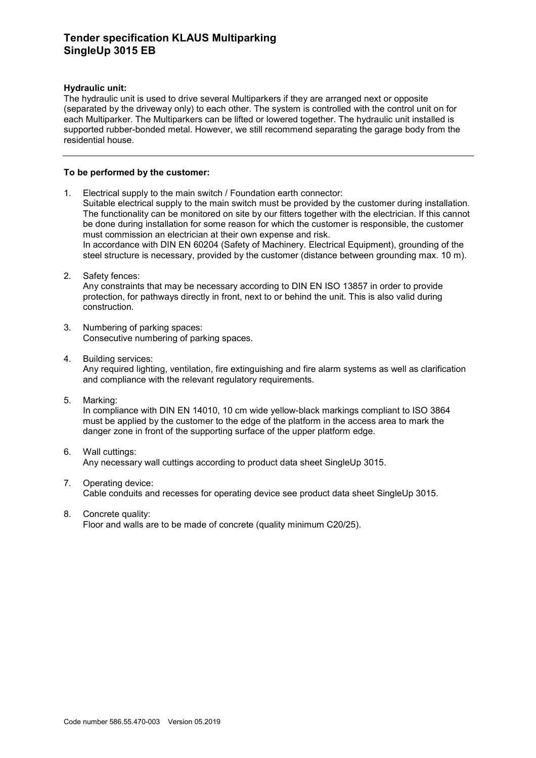# **Tender specification KLAUS Multiparking SingleUp 3015 EB**

## **Hydraulic unit:**

The hydraulic unit is used to drive several Multiparkers if they are arranged next or opposite (separated by the driveway only) to each other. The system is controlled with the control unit on for each Multiparker. The Multiparkers can be lifted or lowered together. The hydraulic unit installed is supported rubber-bonded metal. However, we still recommend separating the garage body from the residential house.

## **To be performed by the customer:**

- 1. Electrical supply to the main switch / Foundation earth connector: Suitable electrical supply to the main switch must be provided by the customer during installation. The functionality can be monitored on site by our fitters together with the electrician. If this cannot be done during installation for some reason for which the customer is responsible, the customer must commission an electrician at their own expense and risk. In accordance with DIN EN 60204 (Safety of Machinery. Electrical Equipment), grounding of the steel structure is necessary, provided by the customer (distance between grounding max. 10 m).
- 2. Safety fences:

Any constraints that may be necessary according to DIN EN ISO 13857 in order to provide protection, for pathways directly in front, next to or behind the unit. This is also valid during construction.

- 3. Numbering of parking spaces: Consecutive numbering of parking spaces.
- 4. Building services:

Any required lighting, ventilation, fire extinguishing and fire alarm systems as well as clarification and compliance with the relevant regulatory requirements.

5. Marking:

In compliance with DIN EN 14010, 10 cm wide yellow-black markings compliant to ISO 3864 must be applied by the customer to the edge of the platform in the access area to mark the danger zone in front of the supporting surface of the upper platform edge.

- 6. Wall cuttings: Any necessary wall cuttings according to product data sheet SingleUp 3015.
- 7. Operating device: Cable conduits and recesses for operating device see product data sheet SingleUp 3015.
- 8. Concrete quality:

Floor and walls are to be made of concrete (quality minimum C20/25).